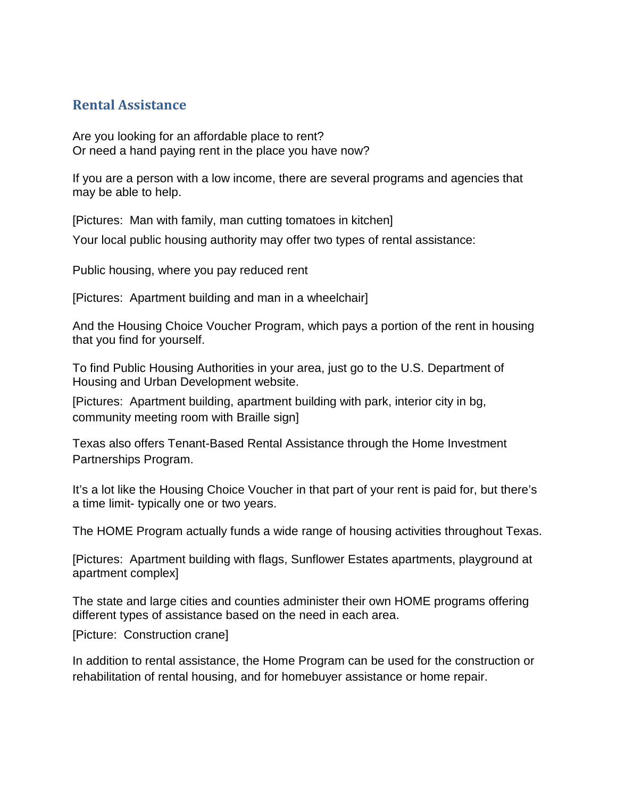## **Rental Assistance**

Are you looking for an affordable place to rent? Or need a hand paying rent in the place you have now?

If you are a person with a low income, there are several programs and agencies that may be able to help.

[Pictures: Man with family, man cutting tomatoes in kitchen]

Your local public housing authority may offer two types of rental assistance:

Public housing, where you pay reduced rent

[Pictures: Apartment building and man in a wheelchair]

And the Housing Choice Voucher Program, which pays a portion of the rent in housing that you find for yourself.

To find Public Housing Authorities in your area, just go to the U.S. Department of Housing and Urban Development website.

[Pictures: Apartment building, apartment building with park, interior city in bg, community meeting room with Braille sign]

Texas also offers Tenant-Based Rental Assistance through the Home Investment Partnerships Program.

It's a lot like the Housing Choice Voucher in that part of your rent is paid for, but there's a time limit- typically one or two years.

The HOME Program actually funds a wide range of housing activities throughout Texas.

[Pictures: Apartment building with flags, Sunflower Estates apartments, playground at apartment complex]

The state and large cities and counties administer their own HOME programs offering different types of assistance based on the need in each area.

[Picture: Construction crane]

In addition to rental assistance, the Home Program can be used for the construction or rehabilitation of rental housing, and for homebuyer assistance or home repair.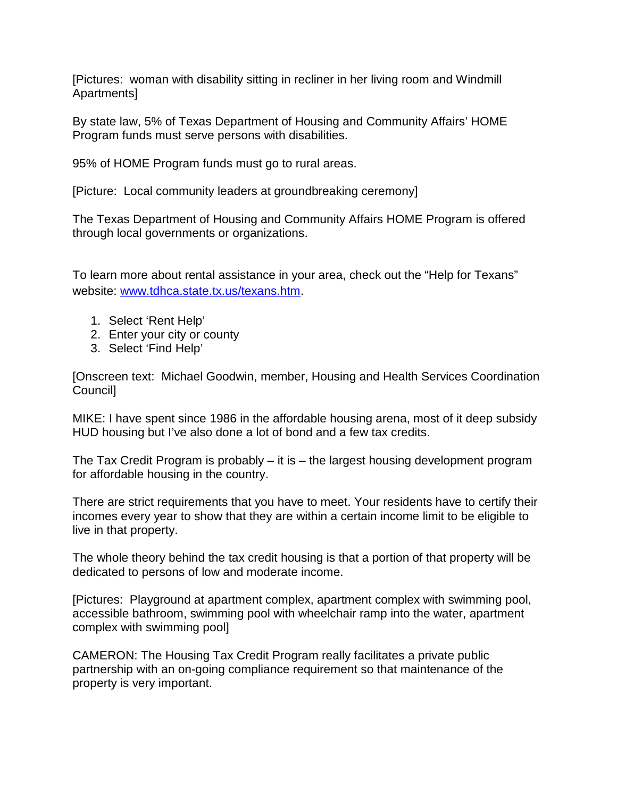[Pictures: woman with disability sitting in recliner in her living room and Windmill Apartments]

By state law, 5% of Texas Department of Housing and Community Affairs' HOME Program funds must serve persons with disabilities.

95% of HOME Program funds must go to rural areas.

[Picture: Local community leaders at groundbreaking ceremony]

The Texas Department of Housing and Community Affairs HOME Program is offered through local governments or organizations.

To learn more about rental assistance in your area, check out the "Help for Texans" website: [www.tdhca.state.tx.us/texans.htm.](http://www.tdhca.state.tx.us/texans.htm)

- 1. Select 'Rent Help'
- 2. Enter your city or county
- 3. Select 'Find Help'

[Onscreen text: Michael Goodwin, member, Housing and Health Services Coordination Council]

MIKE: I have spent since 1986 in the affordable housing arena, most of it deep subsidy HUD housing but I've also done a lot of bond and a few tax credits.

The Tax Credit Program is probably – it is – the largest housing development program for affordable housing in the country.

There are strict requirements that you have to meet. Your residents have to certify their incomes every year to show that they are within a certain income limit to be eligible to live in that property.

The whole theory behind the tax credit housing is that a portion of that property will be dedicated to persons of low and moderate income.

[Pictures: Playground at apartment complex, apartment complex with swimming pool, accessible bathroom, swimming pool with wheelchair ramp into the water, apartment complex with swimming pool]

CAMERON: The Housing Tax Credit Program really facilitates a private public partnership with an on-going compliance requirement so that maintenance of the property is very important.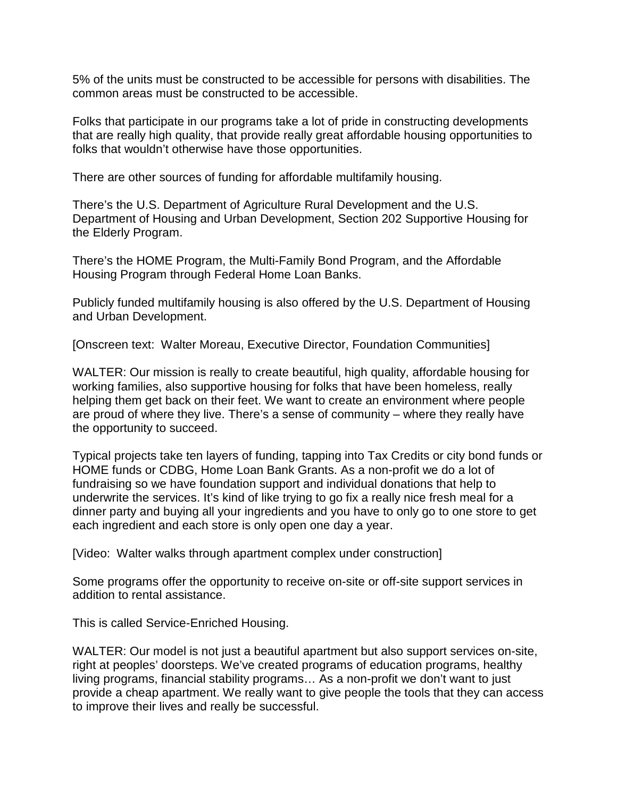5% of the units must be constructed to be accessible for persons with disabilities. The common areas must be constructed to be accessible.

Folks that participate in our programs take a lot of pride in constructing developments that are really high quality, that provide really great affordable housing opportunities to folks that wouldn't otherwise have those opportunities.

There are other sources of funding for affordable multifamily housing.

There's the U.S. Department of Agriculture Rural Development and the U.S. Department of Housing and Urban Development, Section 202 Supportive Housing for the Elderly Program.

There's the HOME Program, the Multi-Family Bond Program, and the Affordable Housing Program through Federal Home Loan Banks.

Publicly funded multifamily housing is also offered by the U.S. Department of Housing and Urban Development.

[Onscreen text: Walter Moreau, Executive Director, Foundation Communities]

WALTER: Our mission is really to create beautiful, high quality, affordable housing for working families, also supportive housing for folks that have been homeless, really helping them get back on their feet. We want to create an environment where people are proud of where they live. There's a sense of community – where they really have the opportunity to succeed.

Typical projects take ten layers of funding, tapping into Tax Credits or city bond funds or HOME funds or CDBG, Home Loan Bank Grants. As a non-profit we do a lot of fundraising so we have foundation support and individual donations that help to underwrite the services. It's kind of like trying to go fix a really nice fresh meal for a dinner party and buying all your ingredients and you have to only go to one store to get each ingredient and each store is only open one day a year.

[Video: Walter walks through apartment complex under construction]

Some programs offer the opportunity to receive on-site or off-site support services in addition to rental assistance.

This is called Service-Enriched Housing.

WALTER: Our model is not just a beautiful apartment but also support services on-site, right at peoples' doorsteps. We've created programs of education programs, healthy living programs, financial stability programs… As a non-profit we don't want to just provide a cheap apartment. We really want to give people the tools that they can access to improve their lives and really be successful.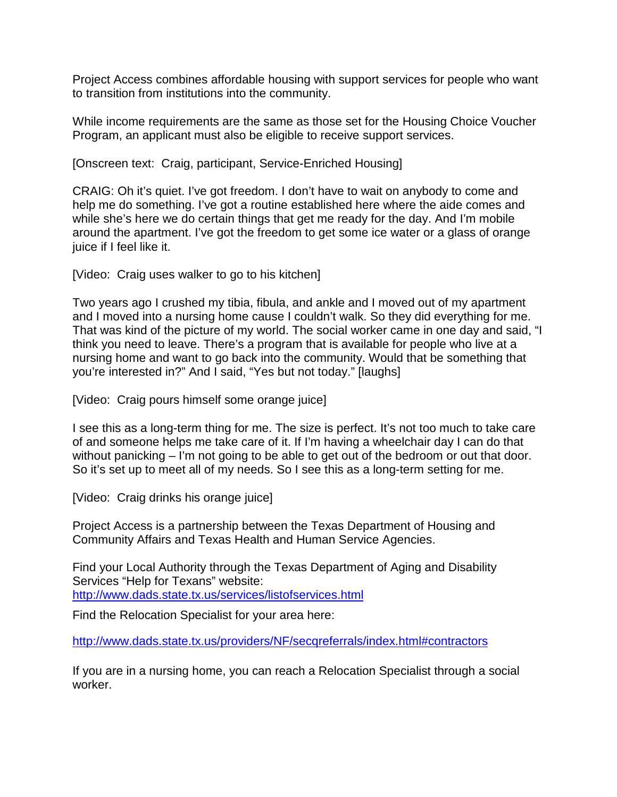Project Access combines affordable housing with support services for people who want to transition from institutions into the community.

While income requirements are the same as those set for the Housing Choice Voucher Program, an applicant must also be eligible to receive support services.

[Onscreen text: Craig, participant, Service-Enriched Housing]

CRAIG: Oh it's quiet. I've got freedom. I don't have to wait on anybody to come and help me do something. I've got a routine established here where the aide comes and while she's here we do certain things that get me ready for the day. And I'm mobile around the apartment. I've got the freedom to get some ice water or a glass of orange juice if I feel like it.

[Video: Craig uses walker to go to his kitchen]

Two years ago I crushed my tibia, fibula, and ankle and I moved out of my apartment and I moved into a nursing home cause I couldn't walk. So they did everything for me. That was kind of the picture of my world. The social worker came in one day and said, "I think you need to leave. There's a program that is available for people who live at a nursing home and want to go back into the community. Would that be something that you're interested in?" And I said, "Yes but not today." [laughs]

[Video: Craig pours himself some orange juice]

I see this as a long-term thing for me. The size is perfect. It's not too much to take care of and someone helps me take care of it. If I'm having a wheelchair day I can do that without panicking – I'm not going to be able to get out of the bedroom or out that door. So it's set up to meet all of my needs. So I see this as a long-term setting for me.

[Video: Craig drinks his orange juice]

Project Access is a partnership between the Texas Department of Housing and Community Affairs and Texas Health and Human Service Agencies.

Find your Local Authority through the Texas Department of Aging and Disability Services "Help for Texans" website: <http://www.dads.state.tx.us/services/listofservices.html>

Find the Relocation Specialist for your area here:

[http://www.dads.state.tx.us/providers/NF/secqreferrals/index.html#contractors](http://www.dads.state.tx.us/providers/NF/secqreferrals/index.html%23contractors)

If you are in a nursing home, you can reach a Relocation Specialist through a social worker.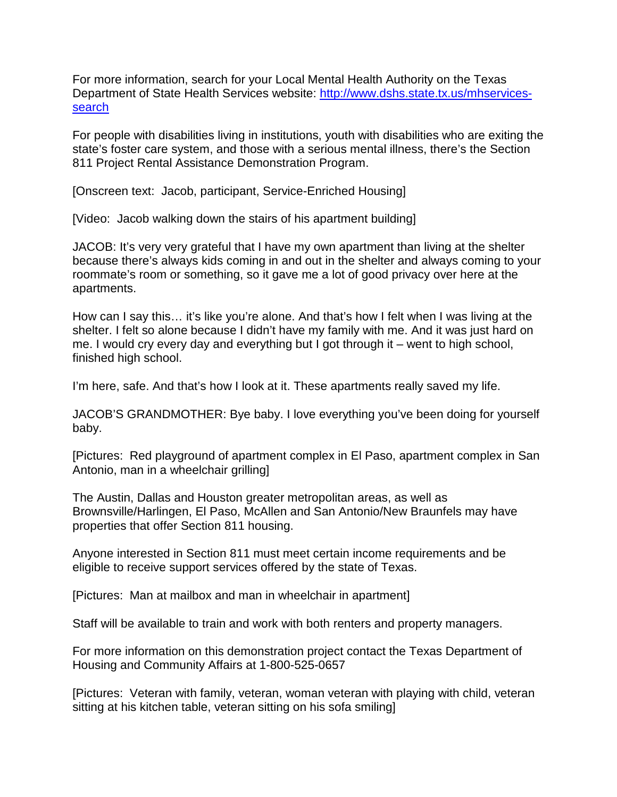For more information, search for your Local Mental Health Authority on the Texas Department of State Health Services website: [http://www.dshs.state.tx.us/mhservices](http://www.dshs.state.tx.us/mhservices-search)[search](http://www.dshs.state.tx.us/mhservices-search)

For people with disabilities living in institutions, youth with disabilities who are exiting the state's foster care system, and those with a serious mental illness, there's the Section 811 Project Rental Assistance Demonstration Program.

[Onscreen text: Jacob, participant, Service-Enriched Housing]

[Video: Jacob walking down the stairs of his apartment building]

JACOB: It's very very grateful that I have my own apartment than living at the shelter because there's always kids coming in and out in the shelter and always coming to your roommate's room or something, so it gave me a lot of good privacy over here at the apartments.

How can I say this… it's like you're alone. And that's how I felt when I was living at the shelter. I felt so alone because I didn't have my family with me. And it was just hard on me. I would cry every day and everything but I got through it – went to high school, finished high school.

I'm here, safe. And that's how I look at it. These apartments really saved my life.

JACOB'S GRANDMOTHER: Bye baby. I love everything you've been doing for yourself baby.

[Pictures: Red playground of apartment complex in El Paso, apartment complex in San Antonio, man in a wheelchair grilling]

The Austin, Dallas and Houston greater metropolitan areas, as well as Brownsville/Harlingen, El Paso, McAllen and San Antonio/New Braunfels may have properties that offer Section 811 housing.

Anyone interested in Section 811 must meet certain income requirements and be eligible to receive support services offered by the state of Texas.

[Pictures: Man at mailbox and man in wheelchair in apartment]

Staff will be available to train and work with both renters and property managers.

For more information on this demonstration project contact the Texas Department of Housing and Community Affairs at 1-800-525-0657

[Pictures: Veteran with family, veteran, woman veteran with playing with child, veteran sitting at his kitchen table, veteran sitting on his sofa smiling]